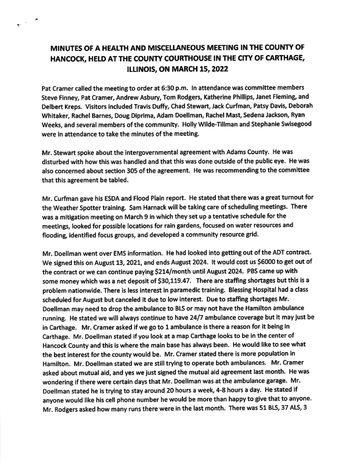## MINUTES OF A HEALTH AND MISCELLANEOUS MEETING IN THE COUNTY OF HANCOCK, HELD AT THE COUNTY COURTHOUSE IN THE CITY OF CARTHAGE. **ILLINOIS, ON MARCH 15, 2022**

 $\frac{1}{\sqrt{2}}$  ,  $\frac{1}{\sqrt{2}}$ 

Pat Cramer called the meetlng to order at 6:30 p.m. ln attendance was commlttee members Steve Finney, Pat Cramer, Andrew Asbury, Tom Rodgers, Katherine Phillips, Janet Fleming, and Delbert Kreps. Visitors included Travis Duffy, Chad Stewart, Jack Curfman, Patsy Davis, Deborah Whitaker, Rachel Barnes, Doug Diprima, Adam Doellman, Rachel Mast, Sedena Jackson, Ryan Weeks, and several members of the community. Holly Wilde-Tillman and Stephanie Swisegood were in attendance to take the minutes of the meeting.

Mr. Stewart spoke about the intergovernmental agreement with Adams county. He was disturbed with how this was handled and that this was done outside of the public eye. He was also concerned about section 305 of the agreement. He was recommending to the committee that this agreement be tabled,

Mr. Curfinan gave his ESDA and Flood Plain report. He stated that there was a great tumout for the Weather Spotter training. Sam Harnack will be taking care of scheduling meetings. There was a mitigation meeting on March 9 in which they set up a tentative schedule for the meetings, looked for possible locations for rain gardens, focused on water resources and flooding, identified focus groups, and developed a community resource grid.

Mr. Doellman went over EMS information. He had looked into getting out of the ADT contract. We signed this on August 13, 2021, and ends August 2024. It would cost us \$6000 to get out of the contract or we can continue paying \$214/month until August 2024. PBS came up with some money which was a net deposit of \$30,119.47. There are staffing shortages but this is a problem nationwide. There is less interest in paramedic training. Blessing Hospital had a class scheduled for August but canceled it due to low interest. Due to staffing shortages Mr. Doellman may need to drop the ambulance to Bl5 or may not have the Hamilton ambulance running. He stated we will always continue to have 24/7 ambulance coverage but it may just be in Carthage. Mr. Cramer asked if we go to 1 ambulance is there a reason for it being in Carthage. Mr. Doellman stated if you look at a map Carthage looks to be in the center of Hancock County and this is where the main base has always been. He would like to see what the best interest for the county would be. Mr. Cramer stated there is more population in Hamilton. Mr. Doellman stated we are still trying to operate both ambulances. Mr. Cramer asked about mutual aid, and yes we just signed the mutual aid agreement last month. He was wondering if there were certain days that Mr, Doellman was at the ambulance garage. Mr. Doellman stated he is trying to stay around 20 hours a week, 4-8 hours a day. He stated if anyone would like his cell phone number he would be more than happy to give that to anyone. Mr. Rodgers asked how many runs there were in the last month. There was 51 BLS, 37 ALS, 3